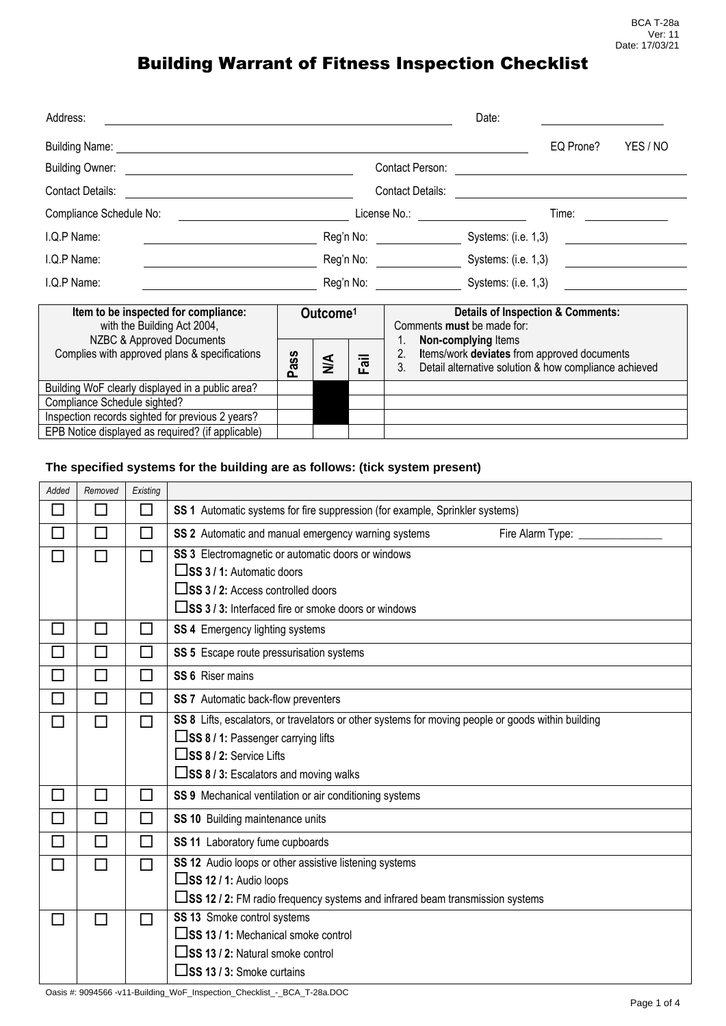| Address:                                                                                                                                                                                                                       |  |                      |          |                                                                                    | Date:                                                                                                |                                              |          |
|--------------------------------------------------------------------------------------------------------------------------------------------------------------------------------------------------------------------------------|--|----------------------|----------|------------------------------------------------------------------------------------|------------------------------------------------------------------------------------------------------|----------------------------------------------|----------|
| Building Name: Name and Society of the Contract of the Contract of the Contract of the Contract of the Contract of the Contract of the Contract of the Contract of the Contract of the Contract of the Contract of the Contrac |  |                      |          |                                                                                    |                                                                                                      | EQ Prone?                                    | YES / NO |
| <b>Building Owner:</b><br><u> 1980 - John Stein, Amerikaansk politiker (</u>                                                                                                                                                   |  |                      |          | Contact Person:                                                                    |                                                                                                      |                                              |          |
| Contact Details:                                                                                                                                                                                                               |  |                      |          | Contact Details:                                                                   |                                                                                                      |                                              |          |
| Compliance Schedule No:                                                                                                                                                                                                        |  |                      |          | License No.: <u>_______</u>                                                        |                                                                                                      | Time:                                        |          |
| I.Q.P Name:                                                                                                                                                                                                                    |  |                      |          | Reg'n No: __________________                                                       | Systems: (i.e. 1,3)                                                                                  |                                              |          |
| I.Q.P Name:                                                                                                                                                                                                                    |  |                      |          | Reg'n No: Systems: (i.e. 1,3)<br><u> 1980 - Jan Samuel Barbara, politik e</u> ta p |                                                                                                      |                                              |          |
| I.Q.P Name:                                                                                                                                                                                                                    |  |                      |          |                                                                                    | Reg'n No: Systems: (i.e. 1,3)                                                                        |                                              |          |
| Item to be inspected for compliance:<br>with the Building Act 2004,<br>NZBC & Approved Documents<br>Complies with approved plans & specifications                                                                              |  | Outcome <sup>1</sup> |          |                                                                                    | Comments must be made for:<br>Non-complying Items                                                    | <b>Details of Inspection &amp; Comments:</b> |          |
|                                                                                                                                                                                                                                |  | ≸                    | $=$<br>교 | 2.<br>3.                                                                           | Items/work deviates from approved documents<br>Detail alternative solution & how compliance achieved |                                              |          |
| Building WoF clearly displayed in a public area?                                                                                                                                                                               |  |                      |          |                                                                                    |                                                                                                      |                                              |          |
| Compliance Schedule sighted?                                                                                                                                                                                                   |  |                      |          |                                                                                    |                                                                                                      |                                              |          |
| Inspection records sighted for previous 2 years?                                                                                                                                                                               |  |                      |          |                                                                                    |                                                                                                      |                                              |          |
| EPB Notice displayed as required? (if applicable)                                                                                                                                                                              |  |                      |          |                                                                                    |                                                                                                      |                                              |          |

#### **The specified systems for the building are as follows: (tick system present)**

| Added                       | Removed                     | Existing |                                                                                                    |
|-----------------------------|-----------------------------|----------|----------------------------------------------------------------------------------------------------|
| $\sim$                      | $\mathcal{L}_{\mathcal{A}}$ | П        | SS 1 Automatic systems for fire suppression (for example, Sprinkler systems)                       |
| M.                          | $\Box$                      | $\Box$   | SS 2 Automatic and manual emergency warning systems<br>Fire Alarm Type: _____________              |
| $\mathcal{L}_{\mathcal{A}}$ | П                           | П        | SS 3 Electromagnetic or automatic doors or windows                                                 |
|                             |                             |          | $\square$ SS 3 / 1: Automatic doors                                                                |
|                             |                             |          | $\square$ SS 3 / 2: Access controlled doors                                                        |
|                             |                             |          | □SS 3 / 3: Interfaced fire or smoke doors or windows                                               |
| $\mathcal{L}_{\mathcal{A}}$ | $\mathcal{L}_{\mathcal{A}}$ | $\Box$   | SS 4 Emergency lighting systems                                                                    |
| $\mathcal{L}$               | П                           | П        | SS 5 Escape route pressurisation systems                                                           |
| Г                           | П                           | П        | SS 6 Riser mains                                                                                   |
| $\Box$                      | $\Box$                      | П        | SS 7 Automatic back-flow preventers                                                                |
| П                           |                             | П        | SS 8 Lifts, escalators, or travelators or other systems for moving people or goods within building |
|                             |                             |          | $\square$ SS 8 / 1: Passenger carrying lifts                                                       |
|                             |                             |          | $\square$ SS 8 / 2: Service Lifts                                                                  |
|                             |                             |          | $\square$ SS 8 / 3: Escalators and moving walks                                                    |
| П                           | $\mathcal{L}_{\mathcal{A}}$ | $\Box$   | SS 9 Mechanical ventilation or air conditioning systems                                            |
| $\mathcal{L}$               | $\Box$                      | П        | SS 10 Building maintenance units                                                                   |
| $\mathcal{L}_{\mathcal{A}}$ | П                           | П        | SS 11 Laboratory fume cupboards                                                                    |
| П                           | П                           | П        | SS 12 Audio loops or other assistive listening systems                                             |
|                             |                             |          | $\square$ SS 12 / 1: Audio loops                                                                   |
|                             |                             |          | □SS 12 / 2: FM radio frequency systems and infrared beam transmission systems                      |
| $\Box$                      |                             | П        | SS 13 Smoke control systems                                                                        |
|                             |                             |          | $\square$ SS 13 / 1: Mechanical smoke control                                                      |
|                             |                             |          | $\square$ SS 13 / 2: Natural smoke control                                                         |
|                             |                             |          | $\Box$ SS 13 / 3: Smoke curtains                                                                   |

Oasis #: 9094566 -v11-Building\_WoF\_Inspection\_Checklist\_-\_BCA\_T-28a.DOC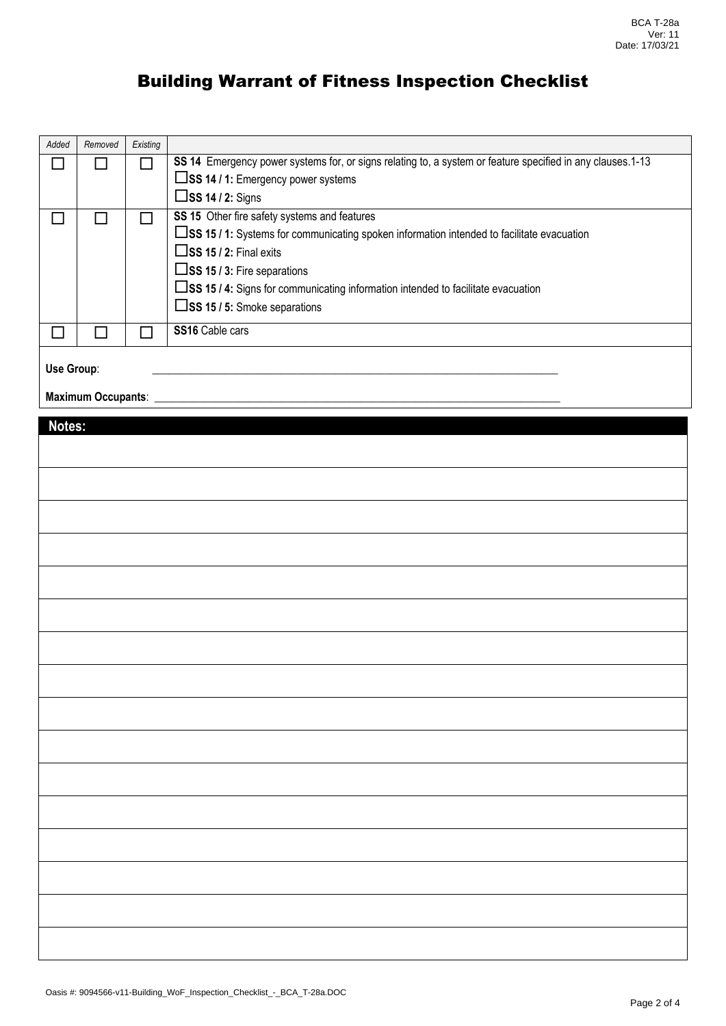| Added      | Removed                   | Existing |                                                                                                            |
|------------|---------------------------|----------|------------------------------------------------------------------------------------------------------------|
|            |                           |          | SS 14 Emergency power systems for, or signs relating to, a system or feature specified in any clauses.1-13 |
|            |                           |          | $\square$ SS 14 / 1: Emergency power systems                                                               |
|            |                           |          | $\square$ SS 14 / 2: Signs                                                                                 |
|            |                           |          | SS 15 Other fire safety systems and features                                                               |
|            |                           |          | $\square$ SS 15 / 1: Systems for communicating spoken information intended to facilitate evacuation        |
|            |                           |          | $\square$ SS 15 / 2: Final exits                                                                           |
|            |                           |          | $\square$ SS 15 / 3: Fire separations                                                                      |
|            |                           |          | □SS 15 / 4: Signs for communicating information intended to facilitate evacuation                          |
|            |                           |          | $\square$ SS 15 / 5: Smoke separations                                                                     |
|            |                           |          | SS16 Cable cars                                                                                            |
|            |                           |          |                                                                                                            |
| Use Group: |                           |          |                                                                                                            |
|            | <b>Maximum Occupants:</b> |          |                                                                                                            |

| Notes: |  |
|--------|--|
|        |  |
|        |  |
|        |  |
|        |  |
|        |  |
|        |  |
|        |  |
|        |  |
|        |  |
|        |  |
|        |  |
|        |  |
|        |  |
|        |  |
|        |  |
|        |  |
|        |  |
|        |  |
|        |  |
|        |  |
|        |  |
|        |  |
|        |  |
|        |  |
|        |  |